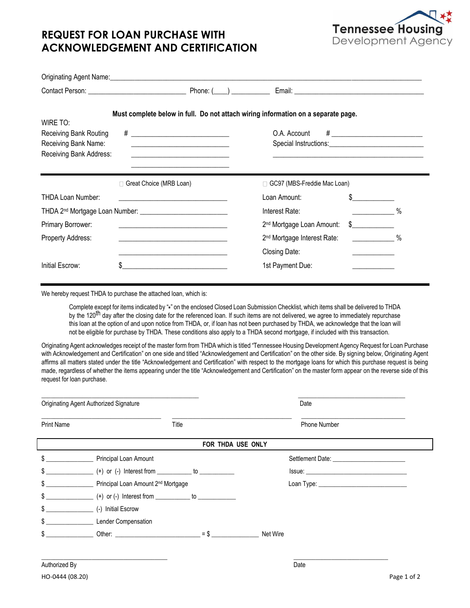

## **REQUEST FOR LOAN PURCHASE WITH ACKNOWLEDGEMENT AND CERTIFICATION**

|                                                                               | Originating Agent Name: 1997 Manual Contract of Contract of Contract of Contract of Contract of Contract of Co                                                                                                                               |                                         |                                                                             |
|-------------------------------------------------------------------------------|----------------------------------------------------------------------------------------------------------------------------------------------------------------------------------------------------------------------------------------------|-----------------------------------------|-----------------------------------------------------------------------------|
|                                                                               |                                                                                                                                                                                                                                              |                                         |                                                                             |
| WIRE TO:                                                                      | Must complete below in full. Do not attach wiring information on a separate page.                                                                                                                                                            |                                         |                                                                             |
| Receiving Bank Routing<br>Receiving Bank Name:<br>Receiving Bank Address:     | <u> Andreas Andreas Andreas Andreas Andreas Andreas Andreas Andreas Andreas Andreas Andreas Andreas Andreas Andr</u><br><u> 1989 - Johann Barbara, martin amerikan basar dan berasal dalam basa dalam basar dalam basar dalam basa dalam</u> | O.A. Account                            | # __________________________<br>Special Instructions: Special Instructions: |
|                                                                               | Great Choice (MRB Loan)                                                                                                                                                                                                                      | □ GC97 (MBS-Freddie Mac Loan)           |                                                                             |
| THDA Loan Number:                                                             |                                                                                                                                                                                                                                              | Loan Amount:                            |                                                                             |
| THDA 2 <sup>nd</sup> Mortgage Loan Number: __________________________________ |                                                                                                                                                                                                                                              | Interest Rate:                          | $\%$                                                                        |
| Primary Borrower:                                                             | <u> 1989 - Johann Barbara, martxa alemaniar amerikan baratzaren 1980an biztanle arteko hamarka</u>                                                                                                                                           | 2 <sup>nd</sup> Mortgage Loan Amount:   | $\frac{1}{2}$                                                               |
| Property Address:                                                             |                                                                                                                                                                                                                                              | 2 <sup>nd</sup> Mortgage Interest Rate: | $\%$                                                                        |
|                                                                               | <u> 1980 - Johann John Stein, marwolaeth a brenin a brenin a brenin a brenin a brenin a brenin a brenin a brenin</u>                                                                                                                         | Closing Date:                           |                                                                             |
| Initial Escrow:                                                               | \$                                                                                                                                                                                                                                           | 1st Payment Due:                        |                                                                             |

We hereby request THDA to purchase the attached loan, which is:

Complete except for items indicated by " **\*** " on the enclosed Closed Loan Submission Checklist, which items shall be delivered to THDA by the 120<sup>th</sup> day after the closing date for the referenced loan. If such items are not delivered, we agree to immediately repurchase this loan at the option of and upon notice from THDA, or, if loan has not been purchased by THDA, we acknowledge that the loan will not be eligible for purchase by THDA. These conditions also apply to a THDA second mortgage, if included with this transaction.

Originating Agent acknowledges receipt of the master form from THDA which is titled "Tennessee Housing Development Agency Request for Loan Purchase with Acknowledgement and Certification" on one side and titled "Acknowledgement and Certification" on the other side. By signing below, Originating Agent affirms all matters stated under the title "Acknowledgement and Certification" with respect to the mortgage loans for which this purchase request is being made, regardless of whether the items appearing under the title "Acknowledgement and Certification" on the master form appear on the reverse side of this request for loan purchase.

|                   | Originating Agent Authorized Signature                                                                                                                                                                                                   | Date                                                                                                                                                                                                                           |  |  |  |
|-------------------|------------------------------------------------------------------------------------------------------------------------------------------------------------------------------------------------------------------------------------------|--------------------------------------------------------------------------------------------------------------------------------------------------------------------------------------------------------------------------------|--|--|--|
| Print Name        | Title                                                                                                                                                                                                                                    | Phone Number                                                                                                                                                                                                                   |  |  |  |
| FOR THDA USE ONLY |                                                                                                                                                                                                                                          |                                                                                                                                                                                                                                |  |  |  |
|                   | \$                                                                                                                                                                                                                                       |                                                                                                                                                                                                                                |  |  |  |
| \$                |                                                                                                                                                                                                                                          |                                                                                                                                                                                                                                |  |  |  |
|                   |                                                                                                                                                                                                                                          | Loan Type: New York State State State State State State State State State State State State State State State State State State State State State State State State State State State State State State State State State Stat |  |  |  |
|                   |                                                                                                                                                                                                                                          |                                                                                                                                                                                                                                |  |  |  |
| \$                | (-) Initial Escrow                                                                                                                                                                                                                       |                                                                                                                                                                                                                                |  |  |  |
| \$                | Lender Compensation                                                                                                                                                                                                                      |                                                                                                                                                                                                                                |  |  |  |
| \$                | $=$ \$<br>Other: the contract of the contract of the contract of the contract of the contract of the contract of the contract of the contract of the contract of the contract of the contract of the contract of the contract of the con | Net Wire                                                                                                                                                                                                                       |  |  |  |

\_\_\_\_\_\_\_\_\_\_\_\_\_\_\_\_\_\_\_\_\_\_\_\_\_\_\_\_\_\_\_\_\_\_\_\_\_\_\_\_ \_\_\_\_\_\_\_\_\_\_\_\_\_\_\_\_\_\_\_\_\_\_\_\_\_\_\_\_\_\_